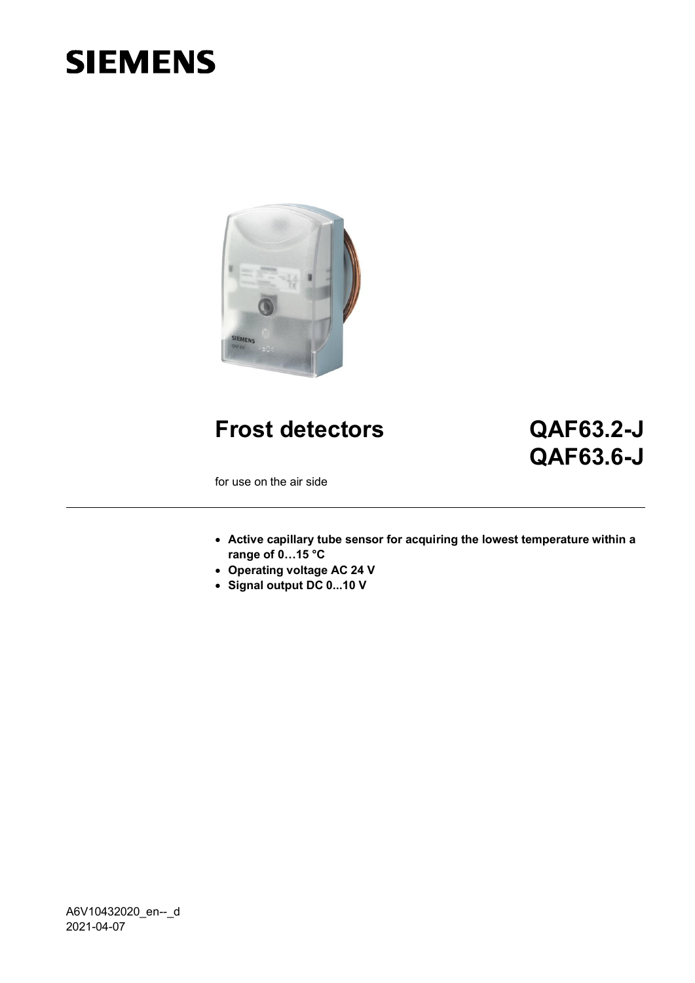# **SIEMENS**



**Frost detectors QAF63.2-J**

# **QAF63.6-J**

for use on the air side

- **Active capillary tube sensor for acquiring the lowest temperature within a range of 0…15 °C**
- **Operating voltage AC 24 V**
- **Signal output DC 0...10 V**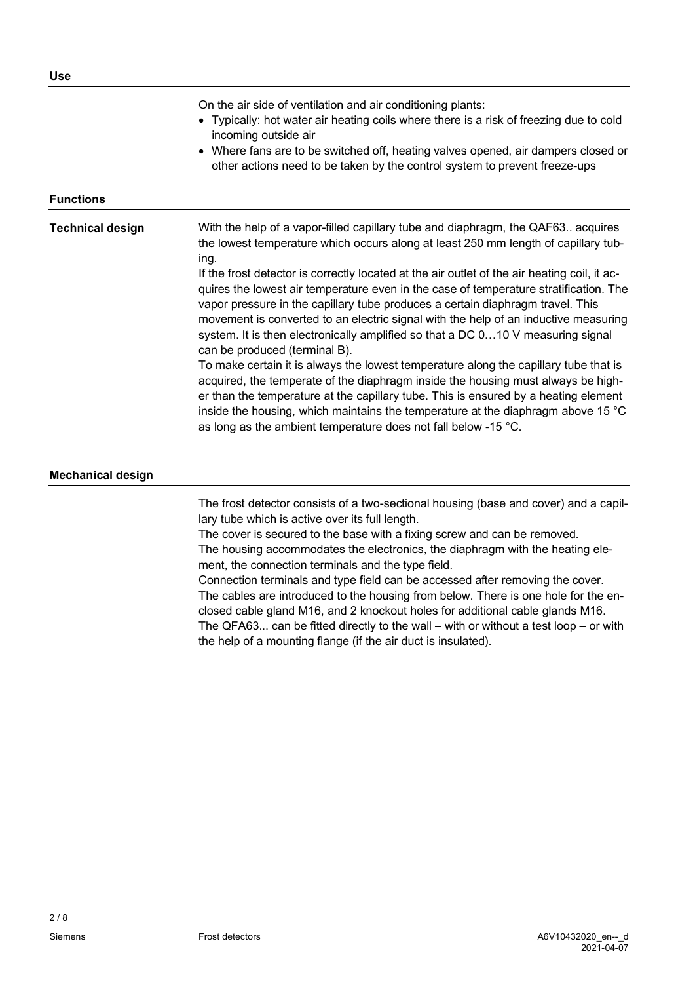On the air side of ventilation and air conditioning plants:

- Typically: hot water air heating coils where there is a risk of freezing due to cold incoming outside air
- Where fans are to be switched off, heating valves opened, air dampers closed or other actions need to be taken by the control system to prevent freeze-ups

#### **Functions**

# **Technical design**

With the help of a vapor-filled capillary tube and diaphragm, the QAF63.. acquires the lowest temperature which occurs along at least 250 mm length of capillary tubing.

If the frost detector is correctly located at the air outlet of the air heating coil, it acquires the lowest air temperature even in the case of temperature stratification. The vapor pressure in the capillary tube produces a certain diaphragm travel. This movement is converted to an electric signal with the help of an inductive measuring system. It is then electronically amplified so that a DC 0…10 V measuring signal can be produced (terminal B).

To make certain it is always the lowest temperature along the capillary tube that is acquired, the temperate of the diaphragm inside the housing must always be higher than the temperature at the capillary tube. This is ensured by a heating element inside the housing, which maintains the temperature at the diaphragm above 15 °C as long as the ambient temperature does not fall below -15 °C.

#### **Mechanical design**

The frost detector consists of a two-sectional housing (base and cover) and a capillary tube which is active over its full length.

The cover is secured to the base with a fixing screw and can be removed. The housing accommodates the electronics, the diaphragm with the heating element, the connection terminals and the type field.

Connection terminals and type field can be accessed after removing the cover. The cables are introduced to the housing from below. There is one hole for the enclosed cable gland M16, and 2 knockout holes for additional cable glands M16. The QFA63... can be fitted directly to the wall – with or without a test loop – or with the help of a mounting flange (if the air duct is insulated).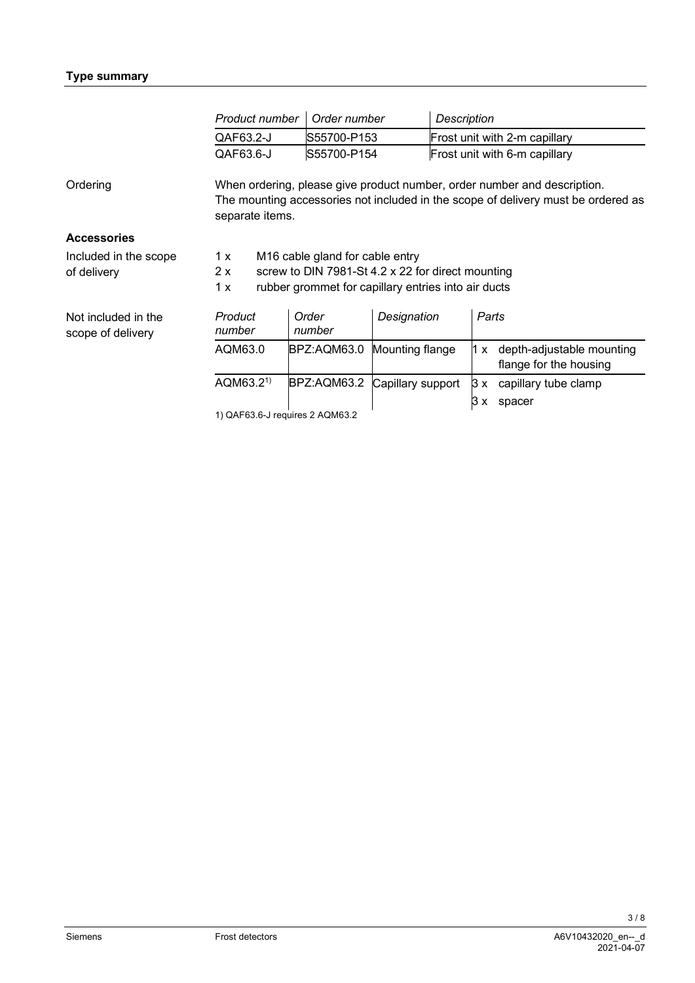|                                          | Product number                                                                                                                                                                   | Order number    | <b>Description</b> |                                                            |
|------------------------------------------|----------------------------------------------------------------------------------------------------------------------------------------------------------------------------------|-----------------|--------------------|------------------------------------------------------------|
|                                          | QAF63.2-J                                                                                                                                                                        | S55700-P153     |                    | Frost unit with 2-m capillary                              |
|                                          | QAF63.6-J                                                                                                                                                                        | S55700-P154     |                    | Frost unit with 6-m capillary                              |
| Ordering                                 | When ordering, please give product number, order number and description.<br>The mounting accessories not included in the scope of delivery must be ordered as<br>separate items. |                 |                    |                                                            |
| <b>Accessories</b>                       |                                                                                                                                                                                  |                 |                    |                                                            |
| Included in the scope<br>of delivery     | M <sub>16</sub> cable gland for cable entry<br>1 x<br>screw to DIN 7981-St 4.2 x 22 for direct mounting<br>2x<br>rubber grommet for capillary entries into air ducts<br>1x       |                 |                    |                                                            |
| Not included in the<br>scope of delivery | Product<br>number                                                                                                                                                                | Order<br>number | Designation        | Parts                                                      |
|                                          | AQM63.0                                                                                                                                                                          | BPZ:AQM63.0     | Mounting flange    | depth-adjustable mounting<br>1 x<br>flange for the housing |
|                                          | AQM63.2 <sup>1</sup>                                                                                                                                                             | BPZ:AQM63.2     | Capillary support  | capillary tube clamp<br>3x                                 |
|                                          | 1) $\bigcap$ LESS G. Legatives 2, $\bigcap$ LESS 2                                                                                                                               |                 |                    | IЗ<br>spacer                                               |

ا<br>1) QAF63.6-J requires 2 AQM63.2

3 / 8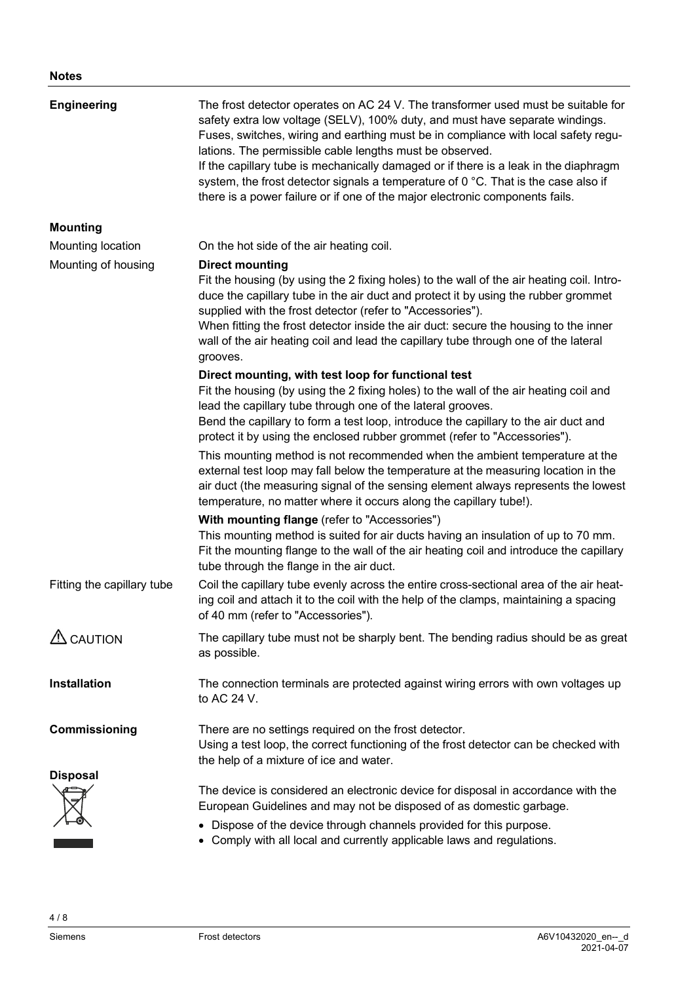| <b>Engineering</b>         | The frost detector operates on AC 24 V. The transformer used must be suitable for<br>safety extra low voltage (SELV), 100% duty, and must have separate windings.<br>Fuses, switches, wiring and earthing must be in compliance with local safety regu-<br>lations. The permissible cable lengths must be observed.<br>If the capillary tube is mechanically damaged or if there is a leak in the diaphragm<br>system, the frost detector signals a temperature of 0 °C. That is the case also if<br>there is a power failure or if one of the major electronic components fails. |  |  |
|----------------------------|-----------------------------------------------------------------------------------------------------------------------------------------------------------------------------------------------------------------------------------------------------------------------------------------------------------------------------------------------------------------------------------------------------------------------------------------------------------------------------------------------------------------------------------------------------------------------------------|--|--|
| <b>Mounting</b>            |                                                                                                                                                                                                                                                                                                                                                                                                                                                                                                                                                                                   |  |  |
| Mounting location          | On the hot side of the air heating coil.                                                                                                                                                                                                                                                                                                                                                                                                                                                                                                                                          |  |  |
| Mounting of housing        | <b>Direct mounting</b><br>Fit the housing (by using the 2 fixing holes) to the wall of the air heating coil. Intro-<br>duce the capillary tube in the air duct and protect it by using the rubber grommet<br>supplied with the frost detector (refer to "Accessories").<br>When fitting the frost detector inside the air duct: secure the housing to the inner<br>wall of the air heating coil and lead the capillary tube through one of the lateral<br>grooves.                                                                                                                |  |  |
|                            | Direct mounting, with test loop for functional test<br>Fit the housing (by using the 2 fixing holes) to the wall of the air heating coil and<br>lead the capillary tube through one of the lateral grooves.<br>Bend the capillary to form a test loop, introduce the capillary to the air duct and<br>protect it by using the enclosed rubber grommet (refer to "Accessories").                                                                                                                                                                                                   |  |  |
|                            | This mounting method is not recommended when the ambient temperature at the<br>external test loop may fall below the temperature at the measuring location in the<br>air duct (the measuring signal of the sensing element always represents the lowest<br>temperature, no matter where it occurs along the capillary tube!).                                                                                                                                                                                                                                                     |  |  |
|                            | With mounting flange (refer to "Accessories")<br>This mounting method is suited for air ducts having an insulation of up to 70 mm.<br>Fit the mounting flange to the wall of the air heating coil and introduce the capillary<br>tube through the flange in the air duct.                                                                                                                                                                                                                                                                                                         |  |  |
| Fitting the capillary tube | Coil the capillary tube evenly across the entire cross-sectional area of the air heat-<br>ing coil and attach it to the coil with the help of the clamps, maintaining a spacing<br>of 40 mm (refer to "Accessories").                                                                                                                                                                                                                                                                                                                                                             |  |  |
| $\triangle$ CAUTION        | The capillary tube must not be sharply bent. The bending radius should be as great<br>as possible.                                                                                                                                                                                                                                                                                                                                                                                                                                                                                |  |  |
| <b>Installation</b>        | The connection terminals are protected against wiring errors with own voltages up<br>to AC 24 V.                                                                                                                                                                                                                                                                                                                                                                                                                                                                                  |  |  |
| Commissioning              | There are no settings required on the frost detector.<br>Using a test loop, the correct functioning of the frost detector can be checked with<br>the help of a mixture of ice and water.                                                                                                                                                                                                                                                                                                                                                                                          |  |  |
| <b>Disposal</b>            |                                                                                                                                                                                                                                                                                                                                                                                                                                                                                                                                                                                   |  |  |
|                            | The device is considered an electronic device for disposal in accordance with the<br>European Guidelines and may not be disposed of as domestic garbage.                                                                                                                                                                                                                                                                                                                                                                                                                          |  |  |
|                            | Dispose of the device through channels provided for this purpose.<br>• Comply with all local and currently applicable laws and regulations.                                                                                                                                                                                                                                                                                                                                                                                                                                       |  |  |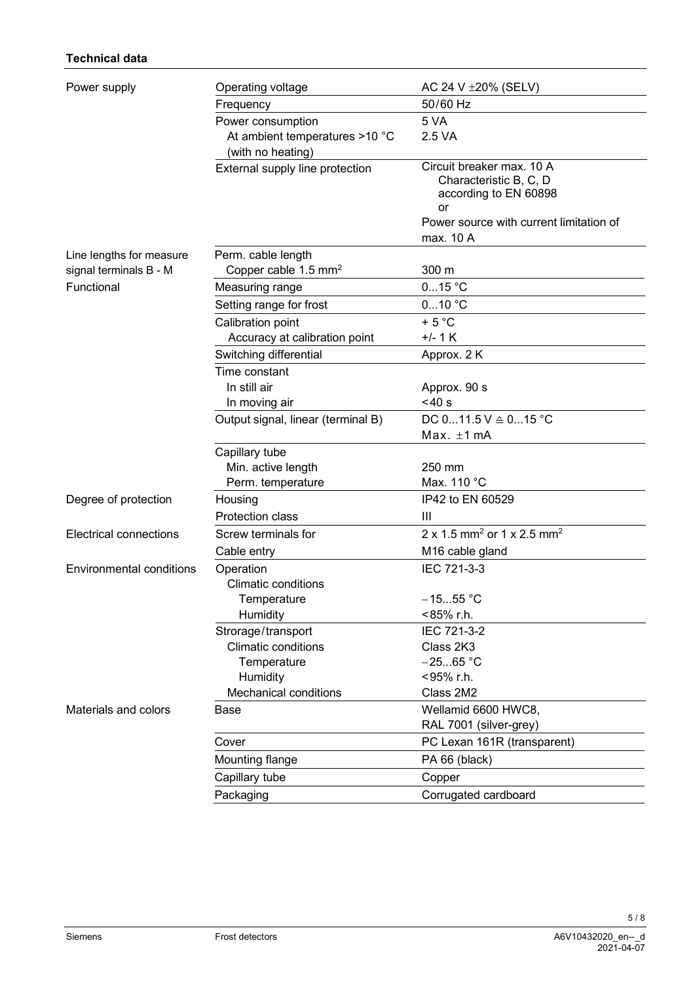## **Technical data**

| Power supply                  | Operating voltage                  | AC 24 V ± 20% (SELV)                                             |  |
|-------------------------------|------------------------------------|------------------------------------------------------------------|--|
|                               | Frequency                          | 50/60 Hz                                                         |  |
|                               | Power consumption                  | 5 VA                                                             |  |
|                               | At ambient temperatures >10 °C     | 2.5 VA                                                           |  |
|                               | (with no heating)                  |                                                                  |  |
|                               | External supply line protection    | Circuit breaker max. 10 A                                        |  |
|                               |                                    | Characteristic B, C, D<br>according to EN 60898                  |  |
|                               |                                    | or                                                               |  |
|                               |                                    | Power source with current limitation of                          |  |
|                               |                                    | max. 10 A                                                        |  |
| Line lengths for measure      | Perm. cable length                 |                                                                  |  |
| signal terminals B - M        | Copper cable 1.5 mm <sup>2</sup>   | 300 m                                                            |  |
| Functional                    | Measuring range                    | 015 °C                                                           |  |
|                               | Setting range for frost            | $010$ °C                                                         |  |
|                               | Calibration point                  | $+5 °C$                                                          |  |
|                               | Accuracy at calibration point      | $+/- 1$ K                                                        |  |
|                               | Switching differential             | Approx. 2 K                                                      |  |
|                               | Time constant                      |                                                                  |  |
|                               | In still air                       | Approx. 90 s                                                     |  |
|                               | In moving air                      | < 40 s                                                           |  |
|                               | Output signal, linear (terminal B) | DC $011.5$ V $\triangleq$ 015 °C                                 |  |
|                               |                                    | $Max. \pm 1 mA$                                                  |  |
|                               | Capillary tube                     |                                                                  |  |
|                               | Min. active length                 | 250 mm                                                           |  |
|                               | Perm. temperature                  | Max. 110 °C                                                      |  |
| Degree of protection          | Housing                            | IP42 to EN 60529                                                 |  |
|                               | Protection class                   | Ш                                                                |  |
| <b>Electrical connections</b> | Screw terminals for                | $2 \times 1.5$ mm <sup>2</sup> or $1 \times 2.5$ mm <sup>2</sup> |  |
|                               | Cable entry                        | M <sub>16</sub> cable gland                                      |  |
| Environmental conditions      | Operation                          | IEC 721-3-3                                                      |  |
|                               | <b>Climatic conditions</b>         |                                                                  |  |
|                               | Temperature                        | $-1555 °C$                                                       |  |
|                               | Humidity                           | <85% r.h.                                                        |  |
|                               | Strorage/transport                 | IEC 721-3-2                                                      |  |
|                               | <b>Climatic conditions</b>         | Class 2K3<br>$-2565 °C$                                          |  |
|                               | Temperature<br>Humidity            | <95% r.h.                                                        |  |
|                               | <b>Mechanical conditions</b>       | Class 2M2                                                        |  |
| Materials and colors          | Base                               | Wellamid 6600 HWC8,                                              |  |
|                               |                                    | RAL 7001 (silver-grey)                                           |  |
|                               | Cover                              | PC Lexan 161R (transparent)                                      |  |
|                               | Mounting flange                    | PA 66 (black)                                                    |  |
|                               | Capillary tube                     | Copper                                                           |  |
|                               |                                    |                                                                  |  |
|                               | Packaging                          | Corrugated cardboard                                             |  |

5 / 8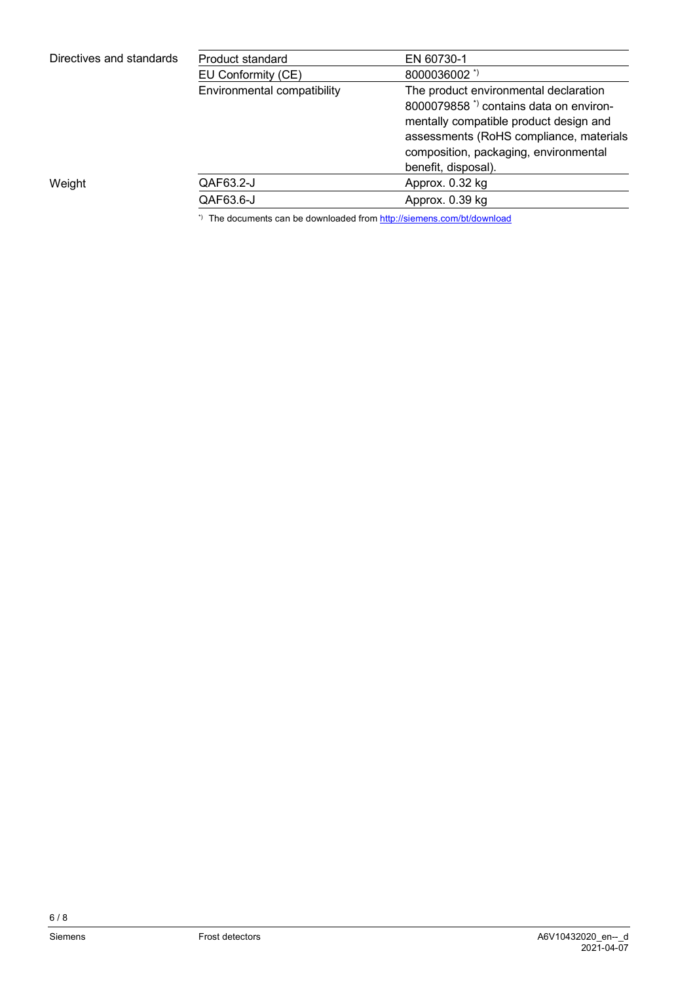| Directives and standards | Product standard            | EN 60730-1                                        |
|--------------------------|-----------------------------|---------------------------------------------------|
|                          | EU Conformity (CE)          | 8000036002 *)                                     |
|                          | Environmental compatibility | The product environmental declaration             |
|                          |                             | 8000079858 <sup>*</sup> contains data on environ- |
|                          |                             | mentally compatible product design and            |
|                          |                             | assessments (RoHS compliance, materials           |
|                          |                             | composition, packaging, environmental             |
|                          |                             | benefit, disposal).                               |
| Weight                   | QAF63.2-J                   | Approx. 0.32 kg                                   |
|                          | QAF63.6-J                   | Approx. 0.39 kg                                   |
|                          |                             |                                                   |

\*) The documents can be downloaded from http://siemens.com/bt/download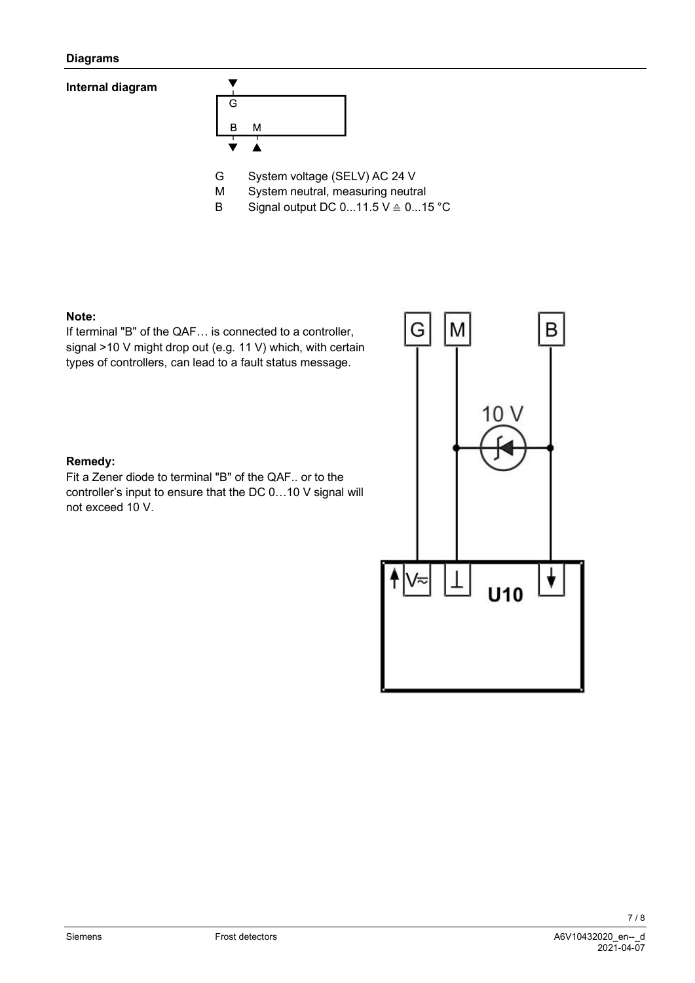#### **Diagrams**

## **Internal diagram**



M System neutral, measuring neutral

B Signal output DC  $0...11.5$  V  $\triangleq$   $0...15$  °C

#### **Note:**

If terminal "B" of the QAF… is connected to a controller, signal >10 V might drop out (e.g. 11 V) which, with certain types of controllers, can lead to a fault status message.



Fit a Zener diode to terminal "B" of the QAF.. or to the controller's input to ensure that the DC 0…10 V signal will not exceed 10 V.



7 / 8